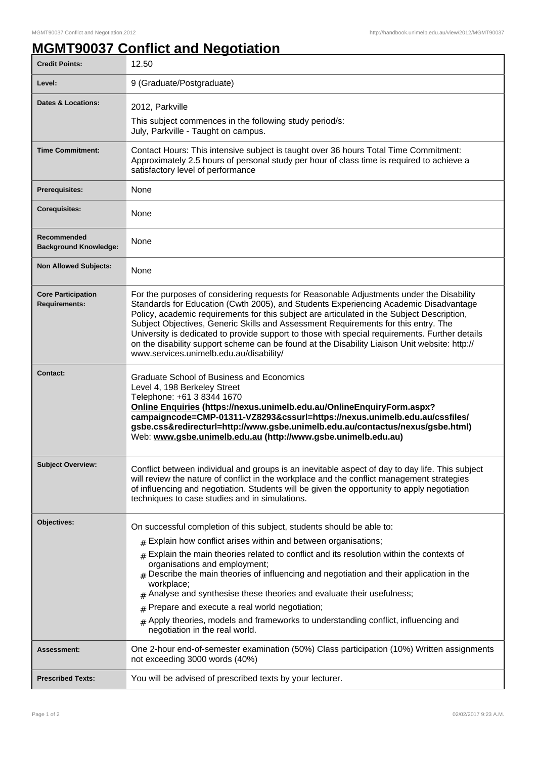## **MGMT90037 Conflict and Negotiation**

| <b>Credit Points:</b>                             | 12.50                                                                                                                                                                                                                                                                                                                                                                                                                                                                                                                                                                                                                                                |
|---------------------------------------------------|------------------------------------------------------------------------------------------------------------------------------------------------------------------------------------------------------------------------------------------------------------------------------------------------------------------------------------------------------------------------------------------------------------------------------------------------------------------------------------------------------------------------------------------------------------------------------------------------------------------------------------------------------|
| Level:                                            | 9 (Graduate/Postgraduate)                                                                                                                                                                                                                                                                                                                                                                                                                                                                                                                                                                                                                            |
| Dates & Locations:                                | 2012, Parkville                                                                                                                                                                                                                                                                                                                                                                                                                                                                                                                                                                                                                                      |
|                                                   | This subject commences in the following study period/s:<br>July, Parkville - Taught on campus.                                                                                                                                                                                                                                                                                                                                                                                                                                                                                                                                                       |
| <b>Time Commitment:</b>                           | Contact Hours: This intensive subject is taught over 36 hours Total Time Commitment:<br>Approximately 2.5 hours of personal study per hour of class time is required to achieve a<br>satisfactory level of performance                                                                                                                                                                                                                                                                                                                                                                                                                               |
| Prerequisites:                                    | None                                                                                                                                                                                                                                                                                                                                                                                                                                                                                                                                                                                                                                                 |
| <b>Corequisites:</b>                              | None                                                                                                                                                                                                                                                                                                                                                                                                                                                                                                                                                                                                                                                 |
| Recommended<br><b>Background Knowledge:</b>       | None                                                                                                                                                                                                                                                                                                                                                                                                                                                                                                                                                                                                                                                 |
| <b>Non Allowed Subjects:</b>                      | None                                                                                                                                                                                                                                                                                                                                                                                                                                                                                                                                                                                                                                                 |
| <b>Core Participation</b><br><b>Requirements:</b> | For the purposes of considering requests for Reasonable Adjustments under the Disability<br>Standards for Education (Cwth 2005), and Students Experiencing Academic Disadvantage<br>Policy, academic requirements for this subject are articulated in the Subject Description,<br>Subject Objectives, Generic Skills and Assessment Requirements for this entry. The<br>University is dedicated to provide support to those with special requirements. Further details<br>on the disability support scheme can be found at the Disability Liaison Unit website: http://<br>www.services.unimelb.edu.au/disability/                                   |
| Contact:                                          | Graduate School of Business and Economics<br>Level 4, 198 Berkeley Street<br>Telephone: +61 3 8344 1670<br>Online Enquiries (https://nexus.unimelb.edu.au/OnlineEnquiryForm.aspx?<br>campaigncode=CMP-01311-VZ8293&cssurl=https://nexus.unimelb.edu.au/cssfiles/<br>gsbe.css&redirecturl=http://www.gsbe.unimelb.edu.au/contactus/nexus/gsbe.html)<br>Web: www.gsbe.unimelb.edu.au (http://www.gsbe.unimelb.edu.au)                                                                                                                                                                                                                                  |
| <b>Subject Overview:</b>                          | Conflict between individual and groups is an inevitable aspect of day to day life. This subject<br>will review the nature of conflict in the workplace and the conflict management strategies<br>of influencing and negotiation. Students will be given the opportunity to apply negotiation<br>techniques to case studies and in simulations.                                                                                                                                                                                                                                                                                                       |
| Objectives:                                       | On successful completion of this subject, students should be able to:<br>$#$ Explain how conflict arises within and between organisations;<br>$#$ Explain the main theories related to conflict and its resolution within the contexts of<br>organisations and employment;<br>$#$ Describe the main theories of influencing and negotiation and their application in the<br>workplace;<br>Analyse and synthesise these theories and evaluate their usefulness;<br>#<br>Prepare and execute a real world negotiation;<br>#<br>Apply theories, models and frameworks to understanding conflict, influencing and<br>#<br>negotiation in the real world. |
| <b>Assessment:</b>                                | One 2-hour end-of-semester examination (50%) Class participation (10%) Written assignments<br>not exceeding 3000 words (40%)                                                                                                                                                                                                                                                                                                                                                                                                                                                                                                                         |
| <b>Prescribed Texts:</b>                          | You will be advised of prescribed texts by your lecturer.                                                                                                                                                                                                                                                                                                                                                                                                                                                                                                                                                                                            |